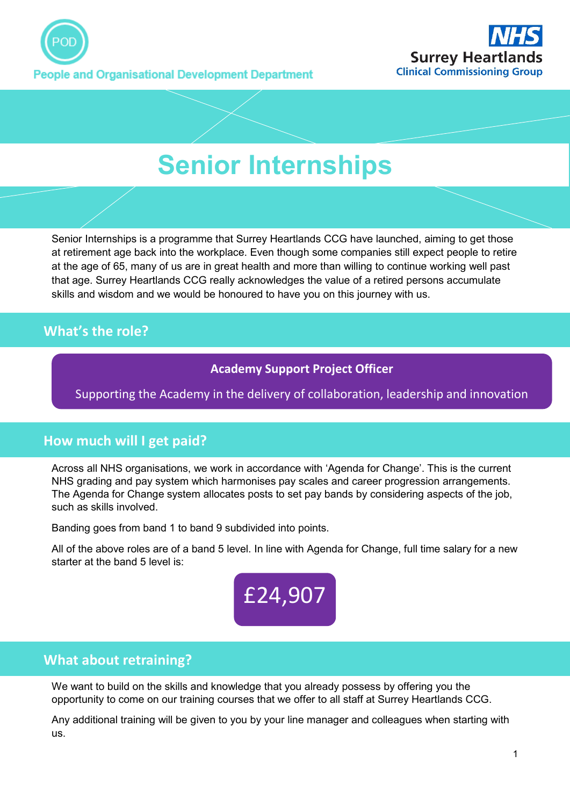



# **Senior Internships**

Senior Internships is a programme that Surrey Heartlands CCG have launched, aiming to get those at retirement age back into the workplace. Even though some companies still expect people to retire at the age of 65, many of us are in great health and more than willing to continue working well past that age. Surrey Heartlands CCG really acknowledges the value of a retired persons accumulate skills and wisdom and we would be honoured to have you on this journey with us.

## **What's the role?**

.

#### **Academy Support Project Officer**

Supporting the Academy in the delivery of collaboration, leadership and innovation

#### **How much will I get paid?**

Across all NHS organisations, we work in accordance with 'Agenda for Change'. This is the current NHS grading and pay system which harmonises pay scales and career progression arrangements. The Agenda for Change system allocates posts to set pay bands by considering aspects of the job, such as skills involved.

Banding goes from band 1 to band 9 subdivided into points.

All of the above roles are of a band 5 level. In line with Agenda for Change, full time salary for a new starter at the band 5 level is:



#### **What about retraining?**

We want to build on the skills and knowledge that you already possess by offering you the opportunity to come on our training courses that we offer to all staff at Surrey Heartlands CCG.

Any additional training will be given to you by your line manager and colleagues when starting with us.